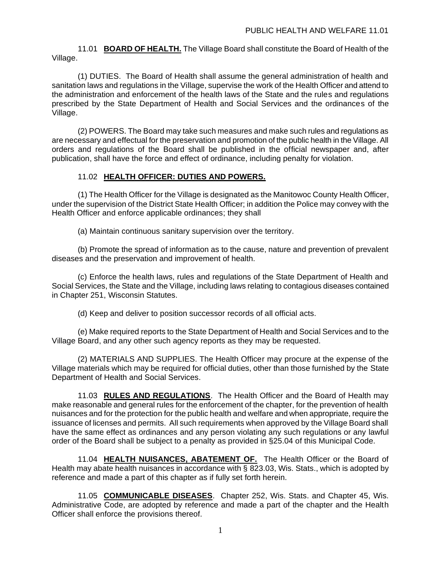11.01 **BOARD OF HEALTH.** The Village Board shall constitute the Board of Health of the Village.

(1) DUTIES. The Board of Health shall assume the general administration of health and sanitation laws and regulations in the Village, supervise the work of the Health Officer and attend to the administration and enforcement of the health laws of the State and the rules and regulations prescribed by the State Department of Health and Social Services and the ordinances of the Village.

(2) POWERS. The Board may take such measures and make such rules and regulations as are necessary and effectual for the preservation and promotion of the public health in the Village. All orders and regulations of the Board shall be published in the official newspaper and, after publication, shall have the force and effect of ordinance, including penalty for violation.

# 11.02 **HEALTH OFFICER: DUTIES AND POWERS.**

(1) The Health Officer for the Village is designated as the Manitowoc County Health Officer, under the supervision of the District State Health Officer; in addition the Police may convey with the Health Officer and enforce applicable ordinances; they shall

(a) Maintain continuous sanitary supervision over the territory.

(b) Promote the spread of information as to the cause, nature and prevention of prevalent diseases and the preservation and improvement of health.

(c) Enforce the health laws, rules and regulations of the State Department of Health and Social Services, the State and the Village, including laws relating to contagious diseases contained in Chapter 251, Wisconsin Statutes.

(d) Keep and deliver to position successor records of all official acts.

(e) Make required reports to the State Department of Health and Social Services and to the Village Board, and any other such agency reports as they may be requested.

(2) MATERIALS AND SUPPLIES. The Health Officer may procure at the expense of the Village materials which may be required for official duties, other than those furnished by the State Department of Health and Social Services.

11.03 **RULES AND REGULATIONS**. The Health Officer and the Board of Health may make reasonable and general rules for the enforcement of the chapter, for the prevention of health nuisances and for the protection for the public health and welfare and when appropriate, require the issuance of licenses and permits. All such requirements when approved by the Village Board shall have the same effect as ordinances and any person violating any such regulations or any lawful order of the Board shall be subject to a penalty as provided in §25.04 of this Municipal Code.

11.04 **HEALTH NUISANCES, ABATEMENT OF.** The Health Officer or the Board of Health may abate health nuisances in accordance with § 823.03, Wis. Stats., which is adopted by reference and made a part of this chapter as if fully set forth herein.

11.05 **COMMUNICABLE DISEASES**. Chapter 252, Wis. Stats. and Chapter 45, Wis. Administrative Code, are adopted by reference and made a part of the chapter and the Health Officer shall enforce the provisions thereof.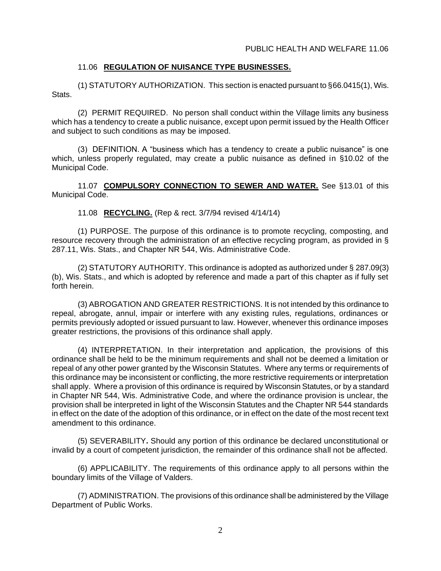# 11.06 **REGULATION OF NUISANCE TYPE BUSINESSES.**

(1) STATUTORY AUTHORIZATION. This section is enacted pursuant to §66.0415(1), Wis. Stats.

(2) PERMIT REQUIRED. No person shall conduct within the Village limits any business which has a tendency to create a public nuisance, except upon permit issued by the Health Officer and subject to such conditions as may be imposed.

(3) DEFINITION. A "business which has a tendency to create a public nuisance" is one which, unless properly regulated, may create a public nuisance as defined in §10.02 of the Municipal Code.

11.07 **COMPULSORY CONNECTION TO SEWER AND WATER.** See §13.01 of this Municipal Code.

11.08 **RECYCLING.** (Rep & rect. 3/7/94 revised 4/14/14)

(1) PURPOSE. The purpose of this ordinance is to promote recycling, composting, and resource recovery through the administration of an effective recycling program, as provided in § 287.11, Wis. Stats., and Chapter NR 544, Wis. Administrative Code.

(2) STATUTORY AUTHORITY. This ordinance is adopted as authorized under § 287.09(3) (b), Wis. Stats., and which is adopted by reference and made a part of this chapter as if fully set forth herein.

(3) ABROGATION AND GREATER RESTRICTIONS. It is not intended by this ordinance to repeal, abrogate, annul, impair or interfere with any existing rules, regulations, ordinances or permits previously adopted or issued pursuant to law. However, whenever this ordinance imposes greater restrictions, the provisions of this ordinance shall apply.

(4) INTERPRETATION. In their interpretation and application, the provisions of this ordinance shall be held to be the minimum requirements and shall not be deemed a limitation or repeal of any other power granted by the Wisconsin Statutes. Where any terms or requirements of this ordinance may be inconsistent or conflicting, the more restrictive requirements or interpretation shall apply. Where a provision of this ordinance is required by Wisconsin Statutes, or by a standard in Chapter NR 544, Wis. Administrative Code, and where the ordinance provision is unclear, the provision shall be interpreted in light of the Wisconsin Statutes and the Chapter NR 544 standards in effect on the date of the adoption of this ordinance, or in effect on the date of the most recent text amendment to this ordinance.

(5) SEVERABILITY**.** Should any portion of this ordinance be declared unconstitutional or invalid by a court of competent jurisdiction, the remainder of this ordinance shall not be affected.

(6) APPLICABILITY. The requirements of this ordinance apply to all persons within the boundary limits of the Village of Valders.

(7) ADMINISTRATION. The provisions of this ordinance shall be administered by the Village Department of Public Works.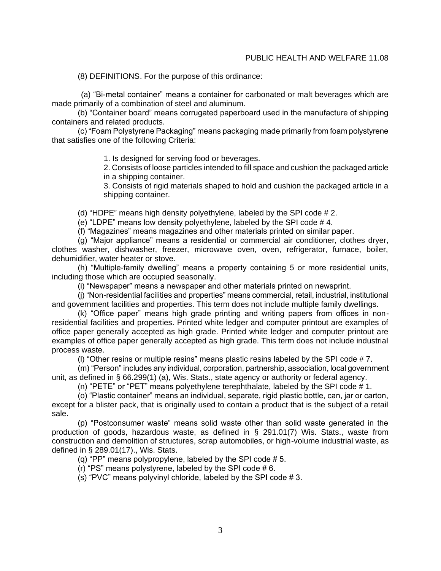#### PUBLIC HEALTH AND WELFARE 11.08

(8) DEFINITIONS. For the purpose of this ordinance:

(a) "Bi-metal container" means a container for carbonated or malt beverages which are made primarily of a combination of steel and aluminum.

(b) "Container board" means corrugated paperboard used in the manufacture of shipping containers and related products.

(c) "Foam Polystyrene Packaging" means packaging made primarily from foam polystyrene that satisfies one of the following Criteria:

1. Is designed for serving food or beverages.

2. Consists of loose particles intended to fill space and cushion the packaged article in a shipping container.

3. Consists of rigid materials shaped to hold and cushion the packaged article in a shipping container.

(d) "HDPE" means high density polyethylene, labeled by the SPI code # 2.

(e) "LDPE" means low density polyethylene, labeled by the SPI code # 4.

(f) "Magazines" means magazines and other materials printed on similar paper.

(g) "Major appliance" means a residential or commercial air conditioner, clothes dryer, clothes washer, dishwasher, freezer, microwave oven, oven, refrigerator, furnace, boiler, dehumidifier, water heater or stove.

(h) "Multiple-family dwelling" means a property containing 5 or more residential units, including those which are occupied seasonally.

(i) "Newspaper" means a newspaper and other materials printed on newsprint.

(j) "Non-residential facilities and properties" means commercial, retail, industrial, institutional and government facilities and properties. This term does not include multiple family dwellings.

(k) "Office paper" means high grade printing and writing papers from offices in nonresidential facilities and properties. Printed white ledger and computer printout are examples of office paper generally accepted as high grade. Printed white ledger and computer printout are examples of office paper generally accepted as high grade. This term does not include industrial process waste.

(I) "Other resins or multiple resins" means plastic resins labeled by the SPI code  $#7$ .

(m) "Person" includes any individual, corporation, partnership, association, local government unit, as defined in § 66.299(1) (a), Wis. Stats., state agency or authority or federal agency.

(n) "PETE" or "PET" means polyethylene terephthalate, labeled by the SPI code # 1.

(o) "Plastic container" means an individual, separate, rigid plastic bottle, can, jar or carton, except for a blister pack, that is originally used to contain a product that is the subject of a retail sale.

(p) "Postconsumer waste" means solid waste other than solid waste generated in the production of goods, hazardous waste, as defined in § 291.01(7) Wis. Stats., waste from construction and demolition of structures, scrap automobiles, or high-volume industrial waste, as defined in § 289.01(17)., Wis. Stats.

(q) "PP" means polypropylene, labeled by the SPI code # 5.

(r) "PS" means polystyrene, labeled by the SPI code  $# 6$ .

(s) "PVC" means polyvinyl chloride, labeled by the SPI code  $# 3$ .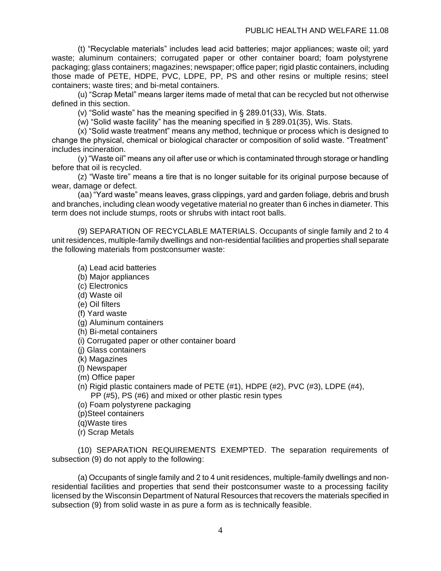(t) "Recyclable materials" includes lead acid batteries; major appliances; waste oil; yard waste; aluminum containers; corrugated paper or other container board; foam polystyrene packaging; glass containers; magazines; newspaper; office paper; rigid plastic containers, including puthaging, glass committed, insperinted, i.e., PP, PS and other resins or multiple resins; steel containers; waste tires; and bi-metal containers.

(u) "Scrap Metal" means larger items made of metal that can be recycled but not otherwise defined in this section.

(v) "Solid waste" has the meaning specified in § 289.01(33), Wis. Stats.

(w) "Solid waste facility" has the meaning specified in § 289.01(35), Wis. Stats.

(x) "Solid waste treatment" means any method, technique or process which is designed to change the physical, chemical or biological character or composition of solid waste. "Treatment" includes incineration.

(y) "Waste oil" means any oil after use or which is contaminated through storage or handling before that oil is recycled.

(z) "Waste tire" means a tire that is no longer suitable for its original purpose because of wear, damage or defect.

(aa) "Yard waste" means leaves, grass clippings, yard and garden foliage, debris and brush and branches, including clean woody vegetative material no greater than 6 inches in diameter. This term does not include stumps, roots or shrubs with intact root balls.

(9) SEPARATION OF RECYCLABLE MATERIALS. Occupants of single family and 2 to 4 unit residences, multiple-family dwellings and non-residential facilities and properties shall separate the following materials from postconsumer waste:

(a) Lead acid batteries

(b) Major appliances

(c) Electronics

- (d) Waste oil
- (e) Oil filters
- (f) Yard waste
- (g) Aluminum containers
- (h) Bi-metal containers
- (i) Corrugated paper or other container board
- (j) Glass containers
- (k) Magazines
- (l) Newspaper
- (m) Office paper
- (n) Rigid plastic containers made of PETE (#1), HDPE (#2), PVC (#3), LDPE (#4), PP (#5), PS (#6) and mixed or other plastic resin types
- (o) Foam polystyrene packaging
- (p)Steel containers
- (q)Waste tires
- (r) Scrap Metals

(10) SEPARATION REQUIREMENTS EXEMPTED. The separation requirements of subsection (9) do not apply to the following:

(a) Occupants of single family and 2 to 4 unit residences, multiple-family dwellings and nonresidential facilities and properties that send their postconsumer waste to a processing facility licensed by the Wisconsin Department of Natural Resources that recovers the materials specified in subsection (9) from solid waste in as pure a form as is technically feasible.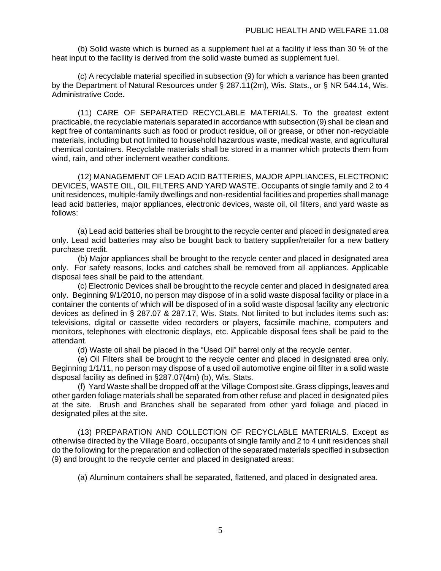(b) Solid waste which is burned as a supplement fuel at a facility if less than 30 % of the heat input to the facility is derived from the solid waste burned as supplement fuel.

(c) A recyclable material specified in subsection (9) for which a variance has been granted by the Department of Natural Resources under § 287.11(2m), Wis. Stats., or § NR 544.14, Wis. Administrative Code.

(11) CARE OF SEPARATED RECYCLABLE MATERIALS. To the greatest extent practicable, the recyclable materials separated in accordance with subsection (9) shall be clean and kept free of contaminants such as food or product residue, oil or grease, or other non-recyclable materials, including but not limited to household hazardous waste, medical waste, and agricultural chemical containers. Recyclable materials shall be stored in a manner which protects them from wind, rain, and other inclement weather conditions.

(12) MANAGEMENT OF LEAD ACID BATTERIES, MAJOR APPLIANCES, ELECTRONIC DEVICES, WASTE OIL, OIL FILTERS AND YARD WASTE. Occupants of single family and 2 to 4 unit residences, multiple-family dwellings and non-residential facilities and properties shall manage lead acid batteries, major appliances, electronic devices, waste oil, oil filters, and yard waste as follows:

(a) Lead acid batteries shall be brought to the recycle center and placed in designated area only. Lead acid batteries may also be bought back to battery supplier/retailer for a new battery purchase credit.

(b) Major appliances shall be brought to the recycle center and placed in designated area only. For safety reasons, locks and catches shall be removed from all appliances. Applicable disposal fees shall be paid to the attendant.

(c) Electronic Devices shall be brought to the recycle center and placed in designated area only. Beginning 9/1/2010, no person may dispose of in a solid waste disposal facility or place in a container the contents of which will be disposed of in a solid waste disposal facility any electronic devices as defined in § 287.07 & 287.17, Wis. Stats. Not limited to but includes items such as: televisions, digital or cassette video recorders or players, facsimile machine, computers and monitors, telephones with electronic displays, etc. Applicable disposal fees shall be paid to the attendant.

(d) Waste oil shall be placed in the "Used Oil" barrel only at the recycle center.

(e) Oil Filters shall be brought to the recycle center and placed in designated area only. Beginning 1/1/11, no person may dispose of a used oil automotive engine oil filter in a solid waste disposal facility as defined in §287.07(4m) (b), Wis. Stats.

(f) Yard Waste shall be dropped off at the Village Compost site. Grass clippings, leaves and other garden foliage materials shall be separated from other refuse and placed in designated piles at the site. Brush and Branches shall be separated from other yard foliage and placed in designated piles at the site.

(13) PREPARATION AND COLLECTION OF RECYCLABLE MATERIALS. Except as otherwise directed by the Village Board, occupants of single family and 2 to 4 unit residences shall do the following for the preparation and collection of the separated materials specified in subsection (9) and brought to the recycle center and placed in designated areas:

(a) Aluminum containers shall be separated, flattened, and placed in designated area.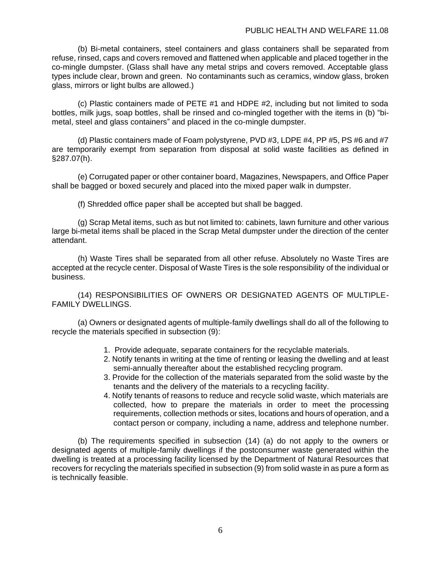(b) Bi-metal containers, steel containers and glass containers shall be separated from refuse, rinsed, caps and covers removed and flattened when applicable and placed together in the co-mingle dumpster. (Glass shall have any metal strips and covers removed. Acceptable glass types include clear, brown and green. No contaminants such as ceramics, window glass, broken glass, mirrors or light bulbs are allowed.)

(c) Plastic containers made of PETE #1 and HDPE #2, including but not limited to soda bottles, milk jugs, soap bottles, shall be rinsed and co-mingled together with the items in (b) "bimetal, steel and glass containers" and placed in the co-mingle dumpster.

(d) Plastic containers made of Foam polystyrene, PVD #3, LDPE #4, PP #5, PS #6 and #7 are temporarily exempt from separation from disposal at solid waste facilities as defined in §287.07(h).

(e) Corrugated paper or other container board, Magazines, Newspapers, and Office Paper shall be bagged or boxed securely and placed into the mixed paper walk in dumpster.

(f) Shredded office paper shall be accepted but shall be bagged.

(g) Scrap Metal items, such as but not limited to: cabinets, lawn furniture and other various large bi-metal items shall be placed in the Scrap Metal dumpster under the direction of the center attendant.

(h) Waste Tires shall be separated from all other refuse. Absolutely no Waste Tires are accepted at the recycle center. Disposal of Waste Tires is the sole responsibility of the individual or business.

(14) RESPONSIBILITIES OF OWNERS OR DESIGNATED AGENTS OF MULTIPLE-FAMILY DWELLINGS.

(a) Owners or designated agents of multiple-family dwellings shall do all of the following to recycle the materials specified in subsection (9):

- 1. Provide adequate, separate containers for the recyclable materials.
- 2. Notify tenants in writing at the time of renting or leasing the dwelling and at least semi-annually thereafter about the established recycling program.
- 3. Provide for the collection of the materials separated from the solid waste by the tenants and the delivery of the materials to a recycling facility.
- 4. Notify tenants of reasons to reduce and recycle solid waste, which materials are collected, how to prepare the materials in order to meet the processing requirements, collection methods or sites, locations and hours of operation, and a contact person or company, including a name, address and telephone number.

(b) The requirements specified in subsection (14) (a) do not apply to the owners or designated agents of multiple-family dwellings if the postconsumer waste generated within the dwelling is treated at a processing facility licensed by the Department of Natural Resources that recovers for recycling the materials specified in subsection (9) from solid waste in as pure a form as is technically feasible.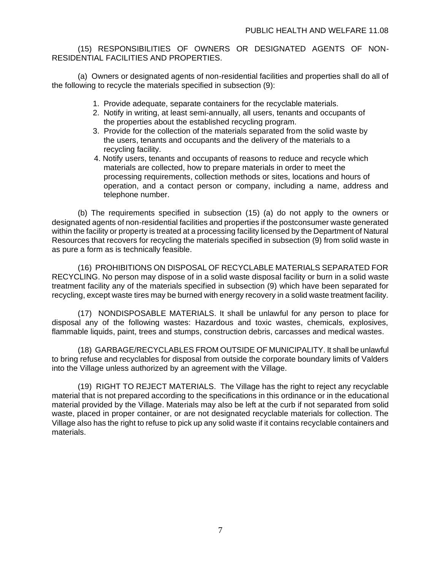(15) RESPONSIBILITIES OF OWNERS OR DESIGNATED AGENTS OF NON-RESIDENTIAL FACILITIES AND PROPERTIES.

(a) Owners or designated agents of non-residential facilities and properties shall do all of the following to recycle the materials specified in subsection (9):

- 1. Provide adequate, separate containers for the recyclable materials.
- 2. Notify in writing, at least semi-annually, all users, tenants and occupants of the properties about the established recycling program.
- 3. Provide for the collection of the materials separated from the solid waste by the users, tenants and occupants and the delivery of the materials to a recycling facility.
- 4. Notify users, tenants and occupants of reasons to reduce and recycle which materials are collected, how to prepare materials in order to meet the processing requirements, collection methods or sites, locations and hours of operation, and a contact person or company, including a name, address and telephone number.

(b) The requirements specified in subsection (15) (a) do not apply to the owners or designated agents of non-residential facilities and properties if the postconsumer waste generated within the facility or property is treated at a processing facility licensed by the Department of Natural Resources that recovers for recycling the materials specified in subsection (9) from solid waste in as pure a form as is technically feasible.

(16) PROHIBITIONS ON DISPOSAL OF RECYCLABLE MATERIALS SEPARATED FOR RECYCLING. No person may dispose of in a solid waste disposal facility or burn in a solid waste treatment facility any of the materials specified in subsection (9) which have been separated for recycling, except waste tires may be burned with energy recovery in a solid waste treatment facility.

(17) NONDISPOSABLE MATERIALS. It shall be unlawful for any person to place for disposal any of the following wastes: Hazardous and toxic wastes, chemicals, explosives, flammable liquids, paint, trees and stumps, construction debris, carcasses and medical wastes.

(18) GARBAGE/RECYCLABLES FROM OUTSIDE OF MUNICIPALITY. It shall be unlawful to bring refuse and recyclables for disposal from outside the corporate boundary limits of Valders into the Village unless authorized by an agreement with the Village.

(19) RIGHT TO REJECT MATERIALS. The Village has the right to reject any recyclable material that is not prepared according to the specifications in this ordinance or in the educational material provided by the Village. Materials may also be left at the curb if not separated from solid waste, placed in proper container, or are not designated recyclable materials for collection. The Village also has the right to refuse to pick up any solid waste if it contains recyclable containers and materials.